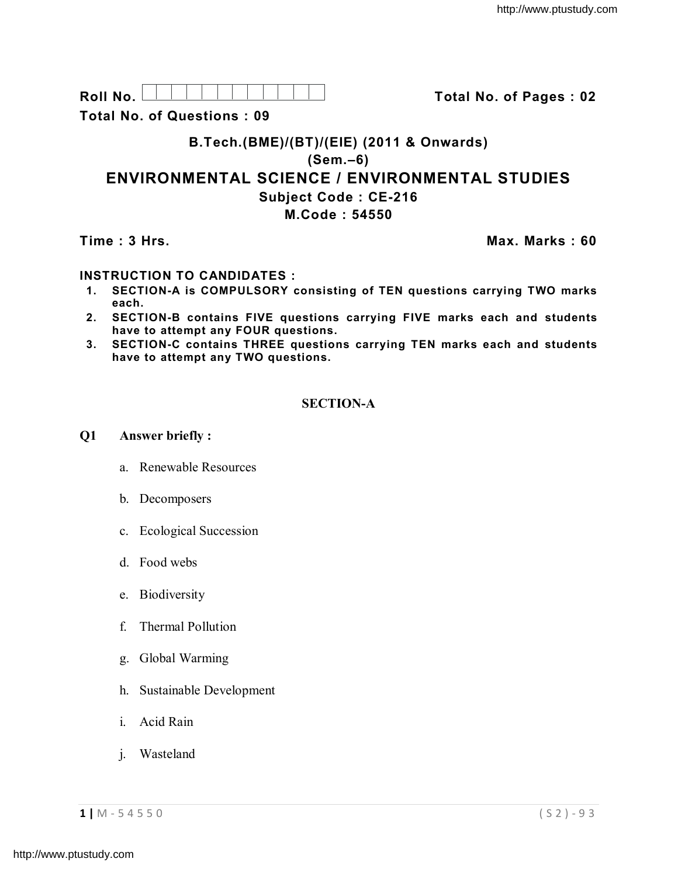| R٥<br>≀oll |  |  |  |  |  |  |
|------------|--|--|--|--|--|--|
| .<br>. .   |  |  |  |  |  |  |

**Roll No. Total No. of Pages : 02**

**Total No. of Questions : 09**

# **B.Tech.(BME)/(BT)/(EIE) (2011 & Onwards) (Sem.–6) ENVIRONMENTAL SCIENCE / ENVIRONMENTAL STUDIES Subject Code : CE-216 M.Code : 54550**

# **Time : 3 Hrs. Max. Marks : 60**

## **INSTRUCTION TO CANDIDATES :**

- **1. SECTION-A is COMPULSORY consisting of TEN questions carrying TWO marks each.**
- **2. SECTION-B contains FIVE questions carrying FIVE marks each and students have to attempt any FOUR questions.**
- **3. SECTION-C contains THREE questions carrying TEN marks each and students have to attempt any TWO questions.**

# **SECTION-A**

### **Q1 Answer briefly :**

- a. Renewable Resources
- b. Decomposers
- c. Ecological Succession
- d. Food webs
- e. Biodiversity
- f. Thermal Pollution
- g. Global Warming
- h. Sustainable Development
- i. Acid Rain
- j. Wasteland